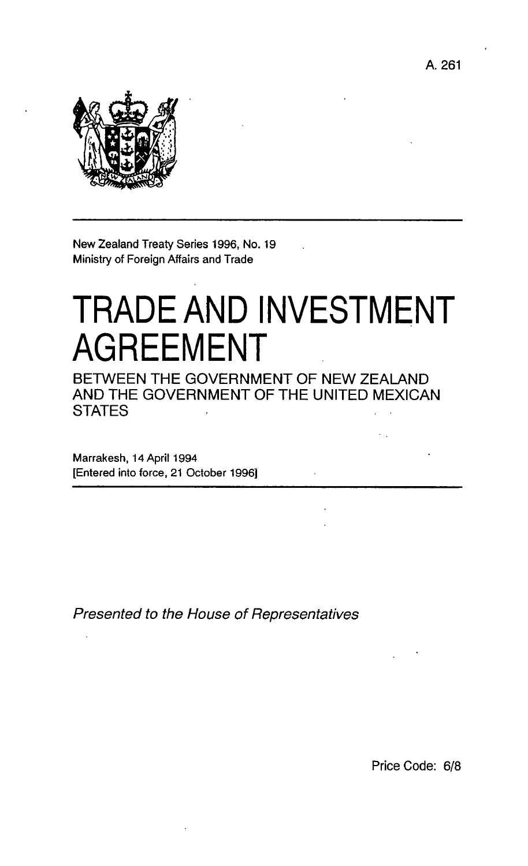A. 261



New Zealand Treaty Series 1996, No. 19 Ministry of Foreign Affairs and Trade

# TRADE AND INVESTMENT **AGREEMENT**

BETWEEN THE GOVERNMENT OF NEW ZEALAND AND THE GOVERNMENT OF THE UNITED MEXICAN **STATES** 

Marrakesh, 14 April 1994 [Entered into force, 21 October 1996]

Presented to the House of Representatives

Price Code: 6/8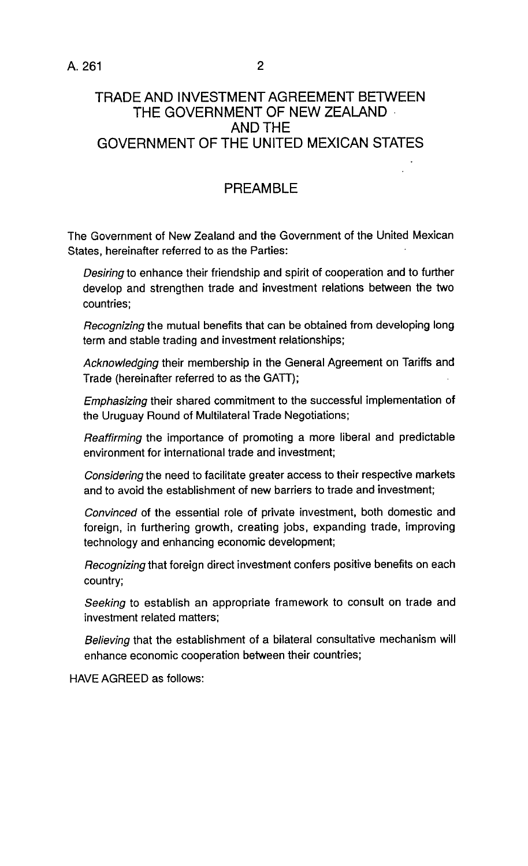### **TRADE AND INVESTMENT AGREEMENT BETWEEN THE GOVERNMENT OF NEW ZEALAND**  AND THE **GOVERNMENT OF THE UNITED MEXICAN STATES**

# **PREAMBLE**

The Government of New Zealand and the Government of the United Mexican States, hereinafter referred to as the Parties:

Desiring to enhance their friendship and spirit of cooperation and to further develop and strengthen trade and investment relations between the two countries;

Recognizing the mutual benefits that can be obtained from developing long term and stable trading and investment relationships;

Acknowledging their membership in the General Agreement on Tariffs and Trade (hereinafter referred to as the GATT);

Emphasizing their shared commitment to the successful implementation of the Uruguay Round of Multilateral Trade Negotiations;

Reaffirming the importance of promoting a more liberal and predictable environment for international trade and investment;

Considering the need to facilitate greater access to their respective markets and to avoid the establishment of new barriers to trade and investment;

Convinced of the essential role of private investment, both domestic and foreign, in furthering growth, creating jobs, expanding trade, improving technology and enhancing economic development;

Recognizing that foreign direct investment confers positive benefits on each country;

Seeking to establish an appropriate framework to consult on trade and investment related matters;

Believing that the establishment of a bilateral consultative mechanism will enhance economic cooperation between their countries;

HAVE AGREED as follows: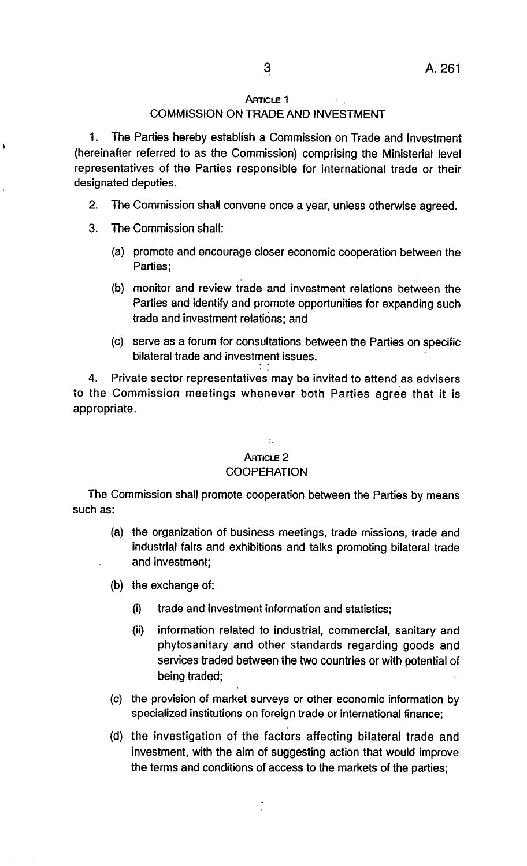#### **ARTICLE 1**

#### COMMISSION ON TRADE AND INVESTMENT

1. The Parties hereby establish a Commission on Trade and Investment (hereinafter referred to as the Commission) comprising the Ministerial level representatives of the Parties responsible for international trade or their designated deputies.

- 2. The Commission shall convene once a year, unless otherwise agreed.
- 3. The Commission shall:

À

- (a) promote and encourage closer economic cooperation between the Parties:
- (b) monitor and review trade and investment relations between the Parties and identify and promote opportunities for expanding such trade and investment relations; and
- (c) serve as a forum for consultations between the Parties on specific bilateral trade and investment issues.

Private sector representatives may be invited to attend as advisers to the Commission meetings whenever both Parties agree that it is appropriate.

# $\mathcal{L}$

# ARTICLE 2

#### **COOPERATION**

The Commission shall promote cooperation between the Parties by means such as:

- (a) the organization of business meetings, trade missions, trade and industrial fairs and exhibitions and talks promoting bilateral trade and investment;
- (b) the exchange of:
	- (i) trade and investment information and statistics;
	- (ii) information related to industrial, commercial, sanitary and phytosanitary and other standards regarding goods and services traded between the two countries or with potential of being traded;
- (c) the provision of market surveys or other economic information by specialized institutions on foreign trade or international finance;
- (d) the investigation of the factors affecting bilateral trade and investment, with the aim of suggesting action that would improve the terms and conditions of access to the markets of the parties;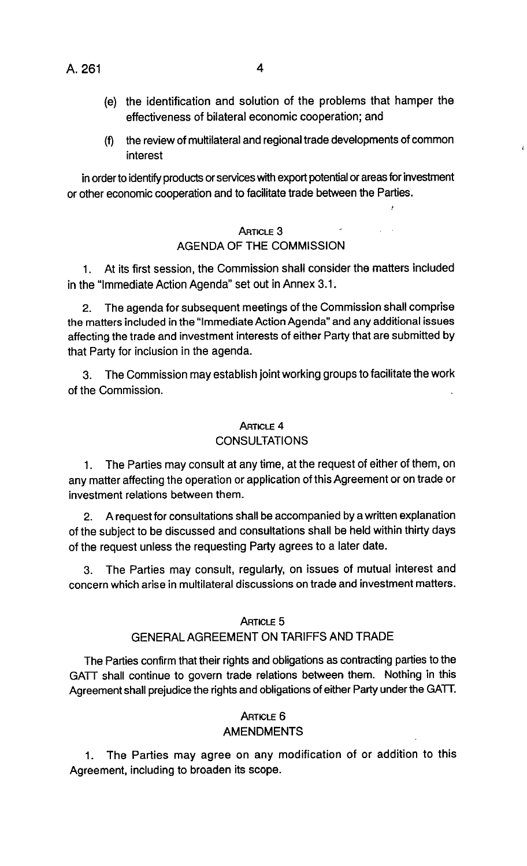A. 261 4

- (e) the identification and solution of the problems that hamper the effectiveness of bilateral economic cooperation; and
- (f) the review of multilateral and regional trade developments of common interest

in order to identify products or services with export potential or areas for investment or other economic cooperation and to facilitate trade between the Parties.

#### ARTICLE 3

#### AGENDA OF THE COMMISSION

1. At its first session, the Commission shall consider the matters included in the "Immediate Action Agenda" set out in Annex 3.1.

2. The agenda for subsequent meetings of the Commission shall comprise the matters included in the "Immediate Action Agenda" and any additional issues affecting the trade and investment interests of either Party that are submitted by that Party for inclusion in the agenda.

3. The Commission may establish joint working groups to facilitate the work of the Commission.

#### **ARTICLE 4 CONSULTATIONS**

1. The Parties may consult at any time, at the request of either of them, on any matter affecting the operation or application of this Agreement or on trade or investment relations between them.

2. A request for consultations shall be accompanied by a written explanation of the subject to be discussed and consultations shall be held within thirty days of the request unless the requesting Party agrees to a later date.

3. The Parties may consult, regularly, on issues of mutual interest and concern which arise in multilateral discussions on trade and investment matters.

#### ARTICLE 5

#### GENERAL AGREEMENT ON TARIFFS AND TRADE

The Parties confirm that their rights and obligations as contracting parties to the GATT shall continue to govern trade relations between them. Nothing in this Agreement shall prejudice the rights and obligations of either Party under the GATT.

#### **ARTICLE 6** AMENDMENTS

1. The Parties may agree on any modification of or addition to this Agreement, including to broaden its scope.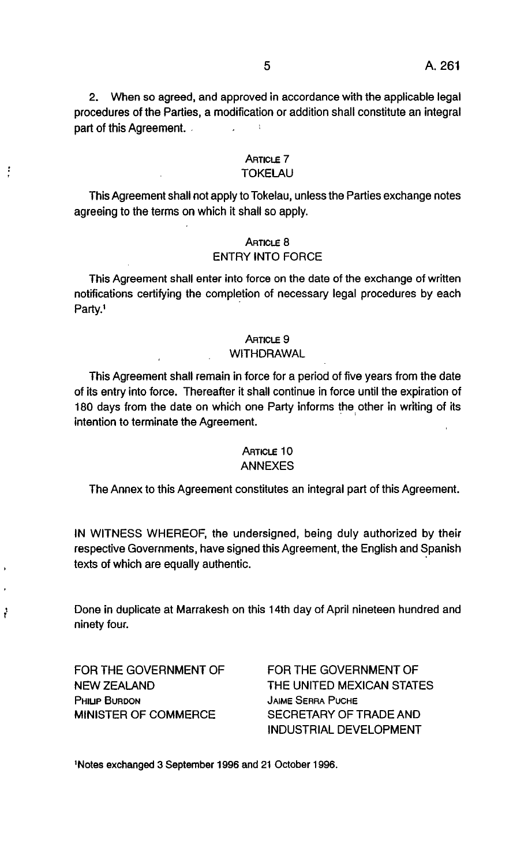2. When so agreed, and approved in accordance with the applicable legal procedures of the Parties, a modification or addition shall constitute an integral part of this Agreement.  $\mathcal{L}$ 

#### ARTICLE 7 TOKELAU

This Agreement shall not apply to Tokelau, unless the Parties exchange notes agreeing to the terms on which it shall so apply.

#### ARTICLE 8 ENTRY INTO FORCE

This Agreement shall enter into force on the date of the exchange of written notifications certifying the completion of necessary legal procedures by each Party.1

#### ARTICLE 9

#### WITHDRAWAL

This Agreement shall remain in force for a period of five years from the date of its entry into force. Thereafter it shall continue in force until the expiration of 180 days from the date on which one Party informs the other in writing of its intention to terminate the Agreement.

#### ARTICLE 10 ANNEXES

The Annex to this Agreement constitutes an integral part of this Agreement.

IN WITNESS WHEREOF, the undersigned, being duly authorized by their respective Governments, have signed this Agreement, the English and Spanish texts of which are equally authentic. .

Done in duplicate at Marrakesh on this 14th day of April nineteen hundred and ninety four.

FOR THE GOVERNMENT OF NEW ZEALAND PHILIP BURDON MINISTER OF COMMERCE

 $\vdots$ 

ł

FOR THE GOVERNMENT OF THE UNITED MEXICAN STATES JAIME SERRA PUCHE SECRETARY OF TRADE AND INDUSTRIAL DEVELOPMENT

INotes exchanged 3 September 1996 and 21 October 1996.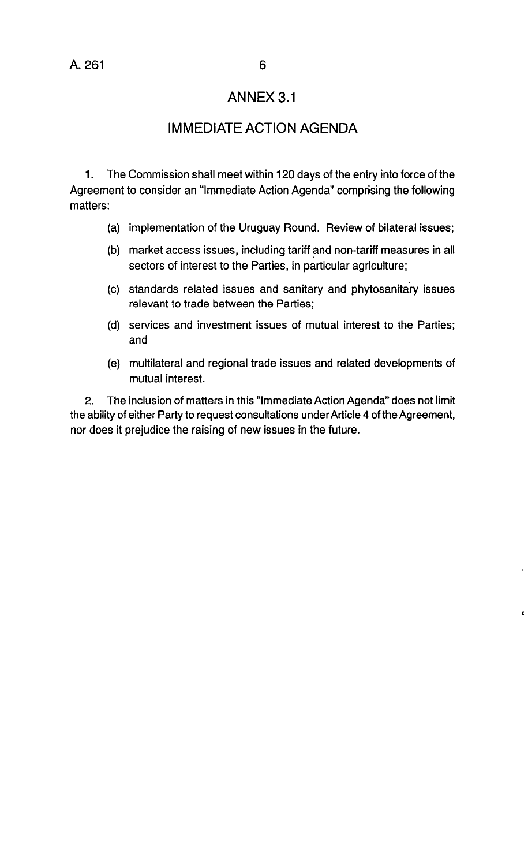## ANNEX 3.1

## **IMMEDIATE ACTION AGENDA**

1. The Commission shall meet within 120 days of the entry into force of the Agreement to consider an "Immediate Action Agenda" comprising the following matters:

- (a) implementation of the Uruguay Round. Review of bilateral issues;
- (b) market access issues, including tariff and non-tariff measures in all sectors of interest to the Parties, in particular agriculture;
- (c) standards related issues and sanitary and phytosanitary issues relevant to trade between the Parties;
- (d) services and investment issues of mutual interest to the Parties; and
- (e) multilateral and regional trade issues and related developments of mutual interest.

2. The inclusion of matters in this "Immediate Action Agenda" does not limit the ability of either Party to request consultations under Article 4 of the Agreement, nor does it prejudice the raising of new issues in the future.